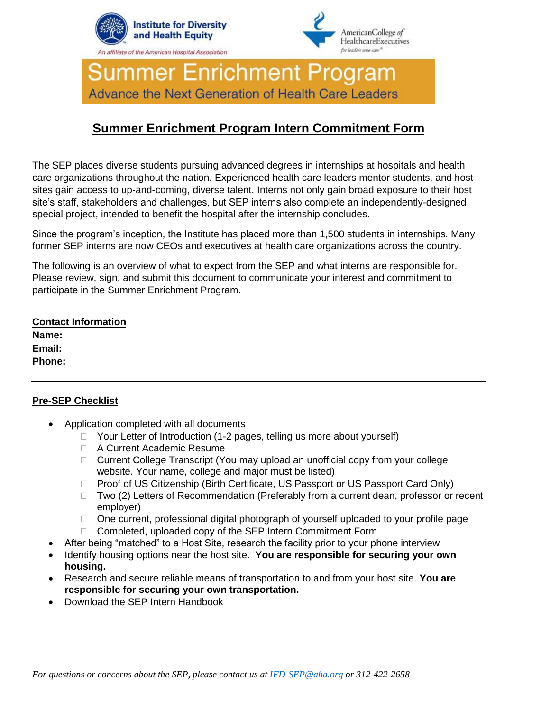



**Summer Enrichment Program** Advance the Next Generation of Health Care Leaders

# **Summer Enrichment Program Intern Commitment Form**

The SEP places diverse students pursuing advanced degrees in internships at hospitals and health care organizations throughout the nation. Experienced health care leaders mentor students, and host sites gain access to up-and-coming, diverse talent. Interns not only gain broad exposure to their host site's staff, stakeholders and challenges, but SEP interns also complete an independently-designed special project, intended to benefit the hospital after the internship concludes.

Since the program's inception, the Institute has placed more than 1,500 students in internships. Many former SEP interns are now CEOs and executives at health care organizations across the country.

The following is an overview of what to expect from the SEP and what interns are responsible for. Please review, sign, and submit this document to communicate your interest and commitment to participate in the Summer Enrichment Program.

# **Contact Information Name: Email: Phone:**

## **Pre-SEP Checklist**

- Application completed with all documents
	- □ Your Letter of Introduction (1-2 pages, telling us more about yourself)
	- □ A Current Academic Resume
	- □ Current College Transcript (You may upload an unofficial copy from your college website. Your name, college and major must be listed)
	- □ Proof of US Citizenship (Birth Certificate, US Passport or US Passport Card Only)
	- $\Box$  Two (2) Letters of Recommendation (Preferably from a current dean, professor or recent employer)
	- □ One current, professional digital photograph of yourself uploaded to your profile page
	- □ Completed, uploaded copy of the SEP Intern Commitment Form
- After being "matched" to a Host Site, research the facility prior to your phone interview
- Identify housing options near the host site. **You are responsible for securing your own housing.**
- Research and secure reliable means of transportation to and from your host site. **You are responsible for securing your own transportation.**
- Download the SEP Intern Handbook